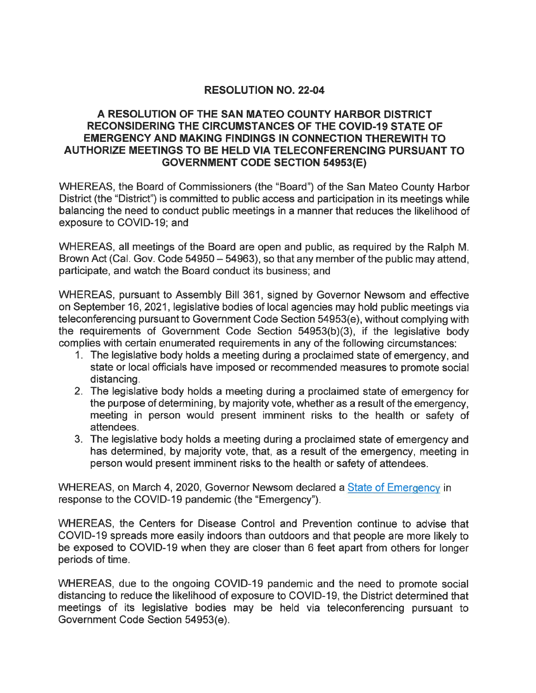## RESOLUTION NO. 22-04

## A RESOLUTION OF THE SAN MATEO COUNTY HARBOR DISTRICT RECONSIDERING THE CIRCUMSTANCES OF THE COVID-19 STATE OF EMERGENCY AND MAKING FINDINGS IN CONNECTION THEREWITH TO AUTHORIZE MEETINGS TO BE HELD VIA TELECONFERENCING PURSUANT TO GOVERNMENT CODE SECTION 54953(E)

WHEREAS, the Board of Commissioners (the "Board") of the San Mateo County Harbor District (the "District") is committed to public access and participation in its meetings while balancing the need to conduct public meetings in a manner that reduces the likelihood of exposure to COVID-19; and

WHEREAS, all meetings of the Board are open and public, as required by the Ralph M. Brown Act (Cal. Gov. Code 54950 – 54963), so that any member of the public may attend, participate, and watch the Board conduct its business; and

WHEREAS, pursuant to Assembly Bill 361, signed by Governor Newsom and effective on September 16, 2021 , legislative bodies of local agencies may hold public meetings via teleconferencing pursuant to Government Code Section 54953(e), without complying with the requirements of Government Code Section 54953(b)(3), if the legislative body complies with certain enumerated requirements in any of the following circumstances:

- 1. The legislative body holds a meeting during a proclaimed state of emergency, and state or local officials have imposed or recommended measures to promote social distancing.
- 2. The legislative body holds a meeting during a proclaimed state of emergency for the purpose of determining, by majority vote, whether as a result of the emergency, meeting in person would present imminent risks to the health or safety of attendees.
- 3. The legislative body holds a meeting during a proclaimed state of emergency and has determined, by majority vote, that, as a result of the emergency, meeting in person would present imminent risks to the health or safety of attendees.

WHEREAS, on March 4, 2020, Governor Newsom declared a State of Emergency in response to the COVID-19 pandemic (the "Emergency").

WHEREAS, the Centers for Disease Control and Prevention continue to advise that COVID-19 spreads more easily indoors than outdoors and that people are more likely to be exposed to COVID-19 when they are closer than 6 feet apart from others for longer periods of time.

WHEREAS, due to the ongoing COVID-19 pandemic and the need to promote social distancing to reduce the likelihood of exposure to COVID-19, the District determined that meetings of its legislative bodies may be held via teleconferencing pursuant to Government Code Section 54953(e).